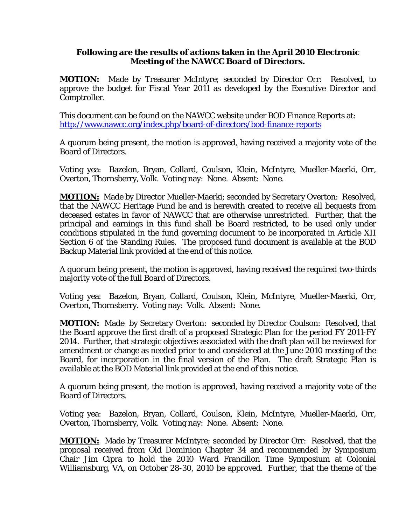## **Following are the results of actions taken in the April 2010 Electronic Meeting of the NAWCC Board of Directors.**

**MOTION:** Made by Treasurer McIntyre; seconded by Director Orr: Resolved, to approve the budget for Fiscal Year 2011 as developed by the Executive Director and Comptroller.

This document can be found on the NAWCC website under BOD Finance Reports at: <http://www.nawcc.org/index.php/board-of-directors/bod-finance-reports>

A quorum being present, the motion is approved, having received a majority vote of the Board of Directors.

Voting yea: Bazelon, Bryan, Collard, Coulson, Klein, McIntyre, Mueller-Maerki, Orr, Overton, Thornsberry, Volk. Voting nay: None. Absent: None.

**MOTION:** Made by Director Mueller-Maerki; seconded by Secretary Overton: Resolved, that the NAWCC Heritage Fund be and is herewith created to receive all bequests from deceased estates in favor of NAWCC that are otherwise unrestricted. Further, that the principal and earnings in this fund shall be Board restricted, to be used only under conditions stipulated in the fund governing document to be incorporated in Article XII Section 6 of the Standing Rules. The proposed fund document is available at the BOD Backup Material link provided at the end of this notice.

A quorum being present, the motion is approved, having received the required two-thirds majority vote of the full Board of Directors.

Voting yea: Bazelon, Bryan, Collard, Coulson, Klein, McIntyre, Mueller-Maerki, Orr, Overton, Thornsberry. Voting nay: Volk. Absent: None.

**MOTION:** Made by Secretary Overton: seconded by Director Coulson: Resolved, that the Board approve the first draft of a proposed Strategic Plan for the period FY 2011-FY 2014. Further, that strategic objectives associated with the draft plan will be reviewed for amendment or change as needed prior to and considered at the June 2010 meeting of the Board, for incorporation in the final version of the Plan. The draft Strategic Plan is available at the BOD Material link provided at the end of this notice.

A quorum being present, the motion is approved, having received a majority vote of the Board of Directors.

Voting yea: Bazelon, Bryan, Collard, Coulson, Klein, McIntyre, Mueller-Maerki, Orr, Overton, Thornsberry, Volk. Voting nay: None. Absent: None.

**MOTION:** Made by Treasurer McIntyre; seconded by Director Orr: Resolved, that the proposal received from Old Dominion Chapter 34 and recommended by Symposium Chair Jim Cipra to hold the 2010 Ward Francillon Time Symposium at Colonial Williamsburg, VA, on October 28-30, 2010 be approved. Further, that the theme of the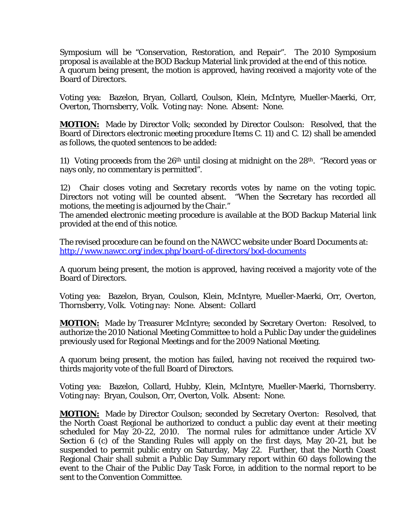Symposium will be "Conservation, Restoration, and Repair". The 2010 Symposium proposal is available at the BOD Backup Material link provided at the end of this notice. A quorum being present, the motion is approved, having received a majority vote of the Board of Directors.

Voting yea: Bazelon, Bryan, Collard, Coulson, Klein, McIntyre, Mueller-Maerki, Orr, Overton, Thornsberry, Volk. Voting nay: None. Absent: None.

**MOTION:** Made by Director Volk; seconded by Director Coulson: Resolved, that the Board of Directors electronic meeting procedure Items C. 11) and C. 12) shall be amended as follows, the quoted sentences to be added:

11) Voting proceeds from the 26th until closing at midnight on the 28th. "Record yeas or nays only, no commentary is permitted".

12) Chair closes voting and Secretary records votes by name on the voting topic. Directors not voting will be counted absent. "When the Secretary has recorded all motions, the meeting is adjourned by the Chair."

The amended electronic meeting procedure is available at the BOD Backup Material link provided at the end of this notice.

The revised procedure can be found on the NAWCC website under Board Documents at: <http://www.nawcc.org/index.php/board-of-directors/bod-documents>

A quorum being present, the motion is approved, having received a majority vote of the Board of Directors.

Voting yea: Bazelon, Bryan, Coulson, Klein, McIntyre, Mueller-Maerki, Orr, Overton, Thornsberry, Volk. Voting nay: None. Absent: Collard

**MOTION:** Made by Treasurer McIntyre; seconded by Secretary Overton: Resolved, to authorize the 2010 National Meeting Committee to hold a Public Day under the guidelines previously used for Regional Meetings and for the 2009 National Meeting.

A quorum being present, the motion has failed, having not received the required twothirds majority vote of the full Board of Directors.

Voting yea: Bazelon, Collard, Hubby, Klein, McIntyre, Mueller-Maerki, Thornsberry. Voting nay: Bryan, Coulson, Orr, Overton, Volk. Absent: None.

**MOTION:** Made by Director Coulson; seconded by Secretary Overton: Resolved, that the North Coast Regional be authorized to conduct a public day event at their meeting scheduled for May 20-22, 2010. The normal rules for admittance under Article XV Section 6 (c) of the Standing Rules will apply on the first days, May 20-21, but be suspended to permit public entry on Saturday, May 22. Further, that the North Coast Regional Chair shall submit a Public Day Summary report within 60 days following the event to the Chair of the Public Day Task Force, in addition to the normal report to be sent to the Convention Committee.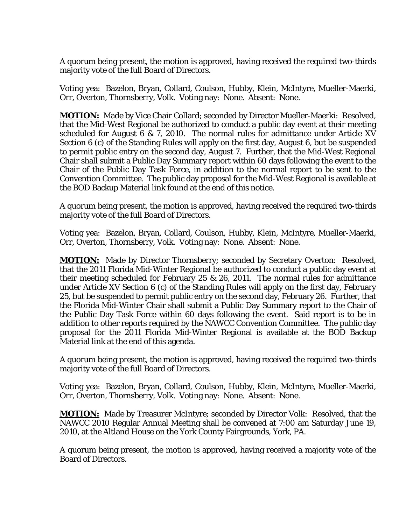A quorum being present, the motion is approved, having received the required two-thirds majority vote of the full Board of Directors.

Voting yea: Bazelon, Bryan, Collard, Coulson, Hubby, Klein, McIntyre, Mueller-Maerki, Orr, Overton, Thornsberry, Volk. Voting nay: None. Absent: None.

**MOTION:** Made by Vice Chair Collard; seconded by Director Mueller-Maerki: Resolved, that the Mid-West Regional be authorized to conduct a public day event at their meeting scheduled for August 6 & 7, 2010. The normal rules for admittance under Article XV Section 6 (c) of the Standing Rules will apply on the first day, August 6, but be suspended to permit public entry on the second day, August 7. Further, that the Mid-West Regional Chair shall submit a Public Day Summary report within 60 days following the event to the Chair of the Public Day Task Force, in addition to the normal report to be sent to the Convention Committee. The public day proposal for the Mid-West Regional is available at the BOD Backup Material link found at the end of this notice.

A quorum being present, the motion is approved, having received the required two-thirds majority vote of the full Board of Directors.

Voting yea: Bazelon, Bryan, Collard, Coulson, Hubby, Klein, McIntyre, Mueller-Maerki, Orr, Overton, Thornsberry, Volk. Voting nay: None. Absent: None.

**MOTION:** Made by Director Thornsberry; seconded by Secretary Overton: Resolved, that the 2011 Florida Mid-Winter Regional be authorized to conduct a public day event at their meeting scheduled for February 25 & 26, 2011. The normal rules for admittance under Article XV Section 6 (c) of the Standing Rules will apply on the first day, February 25, but be suspended to permit public entry on the second day, February 26. Further, that the Florida Mid-Winter Chair shall submit a Public Day Summary report to the Chair of the Public Day Task Force within 60 days following the event. Said report is to be in addition to other reports required by the NAWCC Convention Committee. The public day proposal for the 2011 Florida Mid-Winter Regional is available at the BOD Backup Material link at the end of this agenda.

A quorum being present, the motion is approved, having received the required two-thirds majority vote of the full Board of Directors.

Voting yea: Bazelon, Bryan, Collard, Coulson, Hubby, Klein, McIntyre, Mueller-Maerki, Orr, Overton, Thornsberry, Volk. Voting nay: None. Absent: None.

**MOTION:** Made by Treasurer McIntyre; seconded by Director Volk: Resolved, that the NAWCC 2010 Regular Annual Meeting shall be convened at 7:00 am Saturday June 19, 2010, at the Altland House on the York County Fairgrounds, York, PA.

A quorum being present, the motion is approved, having received a majority vote of the Board of Directors.